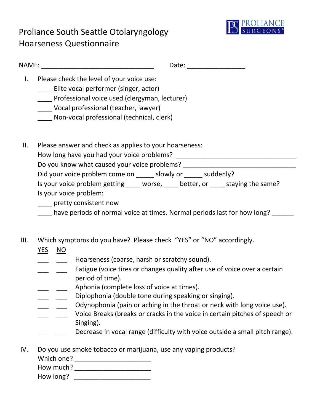

## Proliance South Seattle Otolaryngology BEIT RESERVIES Hoarseness Questionnaire

|      | NAME: NAME:                                                                                                                                                                                                                     |
|------|---------------------------------------------------------------------------------------------------------------------------------------------------------------------------------------------------------------------------------|
| I.   | Please check the level of your voice use:<br>Elite vocal performer (singer, actor)<br>Professional voice used (clergyman, lecturer)<br>Vocal professional (teacher, lawyer)<br>Non-vocal professional (technical, clerk)        |
| ΙΙ.  | Please answer and check as applies to your hoarseness:<br>How long have you had your voice problems?                                                                                                                            |
|      | Do you know what caused your voice problems? _____                                                                                                                                                                              |
|      | Did your voice problem come on ______ slowly or ______ suddenly?                                                                                                                                                                |
|      | Is your voice problem getting ____ worse, ____ better, or ____ staying the same?<br>Is your voice problem:<br>____ pretty consistent now<br>____ have periods of normal voice at times. Normal periods last for how long? _____ |
| III. | Which symptoms do you have? Please check "YES" or "NO" accordingly.<br>YES<br><b>NO</b>                                                                                                                                         |
|      | Hoarseness (coarse, harsh or scratchy sound).                                                                                                                                                                                   |
|      | Fatigue (voice tires or changes quality after use of voice over a certain<br>period of time).                                                                                                                                   |
|      | Aphonia (complete loss of voice at times).                                                                                                                                                                                      |
|      | Diplophonia (double tone during speaking or singing).                                                                                                                                                                           |
|      | Odynophonia (pain or aching in the throat or neck with long voice use).                                                                                                                                                         |
|      | Voice Breaks (breaks or cracks in the voice in certain pitches of speech or<br>Singing).                                                                                                                                        |
|      | Decrease in vocal range (difficulty with voice outside a small pitch range).                                                                                                                                                    |
| IV.  | Do you use smoke tobacco or marijuana, use any vaping products?                                                                                                                                                                 |
|      | How long?                                                                                                                                                                                                                       |
|      |                                                                                                                                                                                                                                 |